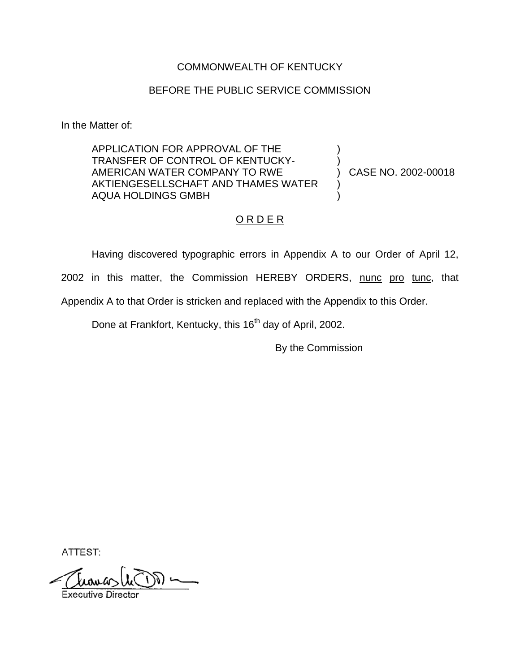### COMMONWEALTH OF KENTUCKY

## BEFORE THE PUBLIC SERVICE COMMISSION

In the Matter of:

APPLICATION FOR APPROVAL OF THE TRANSFER OF CONTROL OF KENTUCKY-AMERICAN WATER COMPANY TO RWE AKTIENGESELLSCHAFT AND THAMES WATER AQUA HOLDINGS GMBH ) ) ) )

) CASE NO. 2002-00018

# ORDER

Having discovered typographic errors in Appendix A to our Order of April 12, 2002 in this matter, the Commission HEREBY ORDERS, nunc pro tunc, that

Appendix A to that Order is stricken and replaced with the Appendix to this Order.

Done at Frankfort, Kentucky, this 16<sup>th</sup> day of April, 2002.

By the Commission

ATTEST: